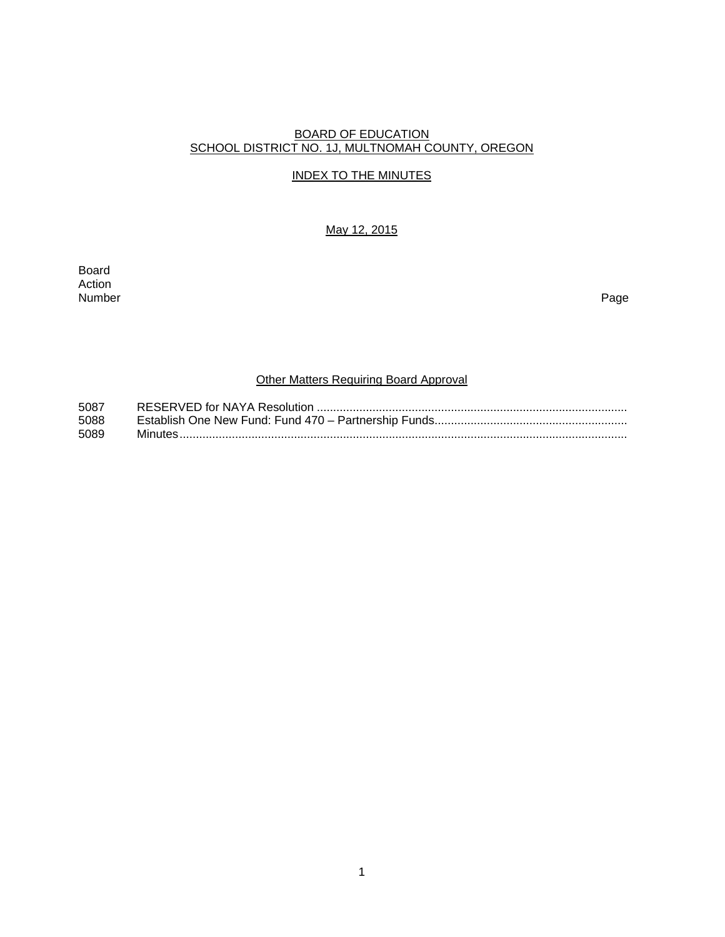## BOARD OF EDUCATION SCHOOL DISTRICT NO. 1J, MULTNOMAH COUNTY, OREGON

## INDEX TO THE MINUTES

May 12, 2015

Board Action<br>Number Number Page

## **Other Matters Requiring Board Approval**

| 5087 |  |
|------|--|
| 5088 |  |
| 5089 |  |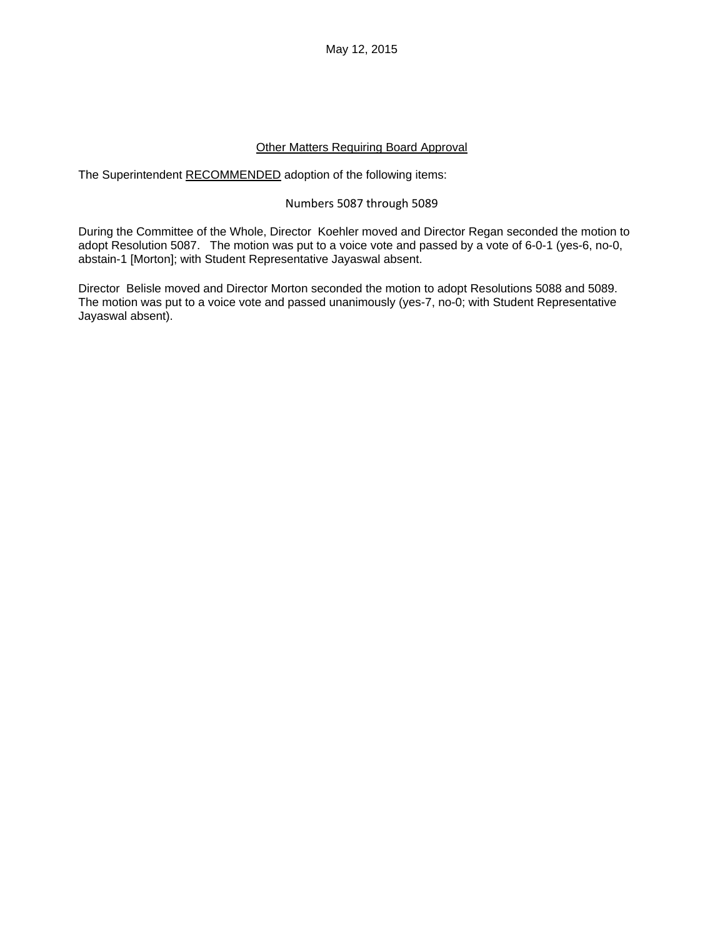May 12, 2015

#### Other Matters Requiring Board Approval

The Superintendent RECOMMENDED adoption of the following items:

#### Numbers 5087 through 5089

During the Committee of the Whole, Director Koehler moved and Director Regan seconded the motion to adopt Resolution 5087. The motion was put to a voice vote and passed by a vote of 6-0-1 (yes-6, no-0, abstain-1 [Morton]; with Student Representative Jayaswal absent.

Director Belisle moved and Director Morton seconded the motion to adopt Resolutions 5088 and 5089. The motion was put to a voice vote and passed unanimously (yes-7, no-0; with Student Representative Jayaswal absent).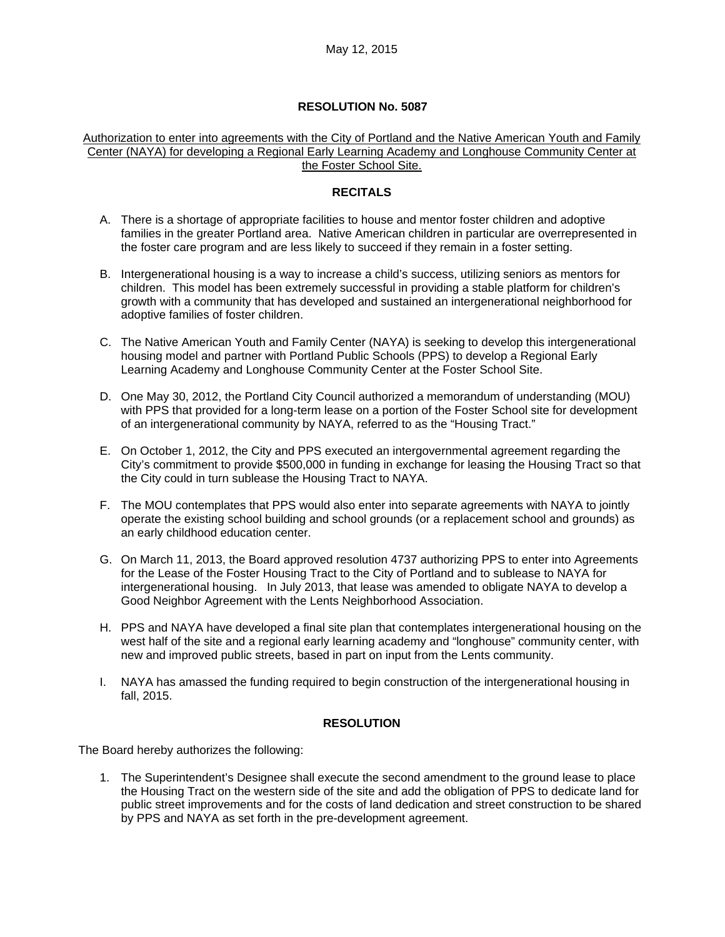#### **RESOLUTION No. 5087**

#### Authorization to enter into agreements with the City of Portland and the Native American Youth and Family Center (NAYA) for developing a Regional Early Learning Academy and Longhouse Community Center at the Foster School Site.

#### **RECITALS**

- A. There is a shortage of appropriate facilities to house and mentor foster children and adoptive families in the greater Portland area. Native American children in particular are overrepresented in the foster care program and are less likely to succeed if they remain in a foster setting.
- B. Intergenerational housing is a way to increase a child's success, utilizing seniors as mentors for children. This model has been extremely successful in providing a stable platform for children's growth with a community that has developed and sustained an intergenerational neighborhood for adoptive families of foster children.
- C. The Native American Youth and Family Center (NAYA) is seeking to develop this intergenerational housing model and partner with Portland Public Schools (PPS) to develop a Regional Early Learning Academy and Longhouse Community Center at the Foster School Site.
- D. One May 30, 2012, the Portland City Council authorized a memorandum of understanding (MOU) with PPS that provided for a long-term lease on a portion of the Foster School site for development of an intergenerational community by NAYA, referred to as the "Housing Tract."
- E. On October 1, 2012, the City and PPS executed an intergovernmental agreement regarding the City's commitment to provide \$500,000 in funding in exchange for leasing the Housing Tract so that the City could in turn sublease the Housing Tract to NAYA.
- F. The MOU contemplates that PPS would also enter into separate agreements with NAYA to jointly operate the existing school building and school grounds (or a replacement school and grounds) as an early childhood education center.
- G. On March 11, 2013, the Board approved resolution 4737 authorizing PPS to enter into Agreements for the Lease of the Foster Housing Tract to the City of Portland and to sublease to NAYA for intergenerational housing. In July 2013, that lease was amended to obligate NAYA to develop a Good Neighbor Agreement with the Lents Neighborhood Association.
- H. PPS and NAYA have developed a final site plan that contemplates intergenerational housing on the west half of the site and a regional early learning academy and "longhouse" community center, with new and improved public streets, based in part on input from the Lents community.
- I. NAYA has amassed the funding required to begin construction of the intergenerational housing in fall, 2015.

#### **RESOLUTION**

The Board hereby authorizes the following:

1. The Superintendent's Designee shall execute the second amendment to the ground lease to place the Housing Tract on the western side of the site and add the obligation of PPS to dedicate land for public street improvements and for the costs of land dedication and street construction to be shared by PPS and NAYA as set forth in the pre-development agreement.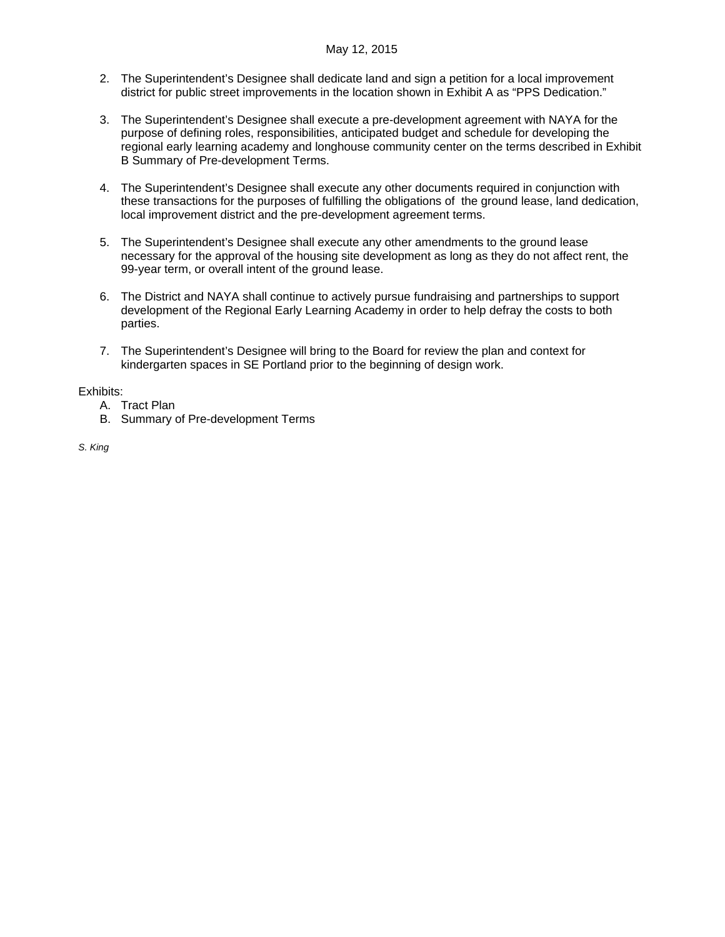- 2. The Superintendent's Designee shall dedicate land and sign a petition for a local improvement district for public street improvements in the location shown in Exhibit A as "PPS Dedication."
- 3. The Superintendent's Designee shall execute a pre-development agreement with NAYA for the purpose of defining roles, responsibilities, anticipated budget and schedule for developing the regional early learning academy and longhouse community center on the terms described in Exhibit B Summary of Pre-development Terms.
- 4. The Superintendent's Designee shall execute any other documents required in conjunction with these transactions for the purposes of fulfilling the obligations of the ground lease, land dedication, local improvement district and the pre-development agreement terms.
- 5. The Superintendent's Designee shall execute any other amendments to the ground lease necessary for the approval of the housing site development as long as they do not affect rent, the 99-year term, or overall intent of the ground lease.
- 6. The District and NAYA shall continue to actively pursue fundraising and partnerships to support development of the Regional Early Learning Academy in order to help defray the costs to both parties.
- 7. The Superintendent's Designee will bring to the Board for review the plan and context for kindergarten spaces in SE Portland prior to the beginning of design work.

#### Exhibits:

- A. Tract Plan
- B. Summary of Pre-development Terms

*S. King*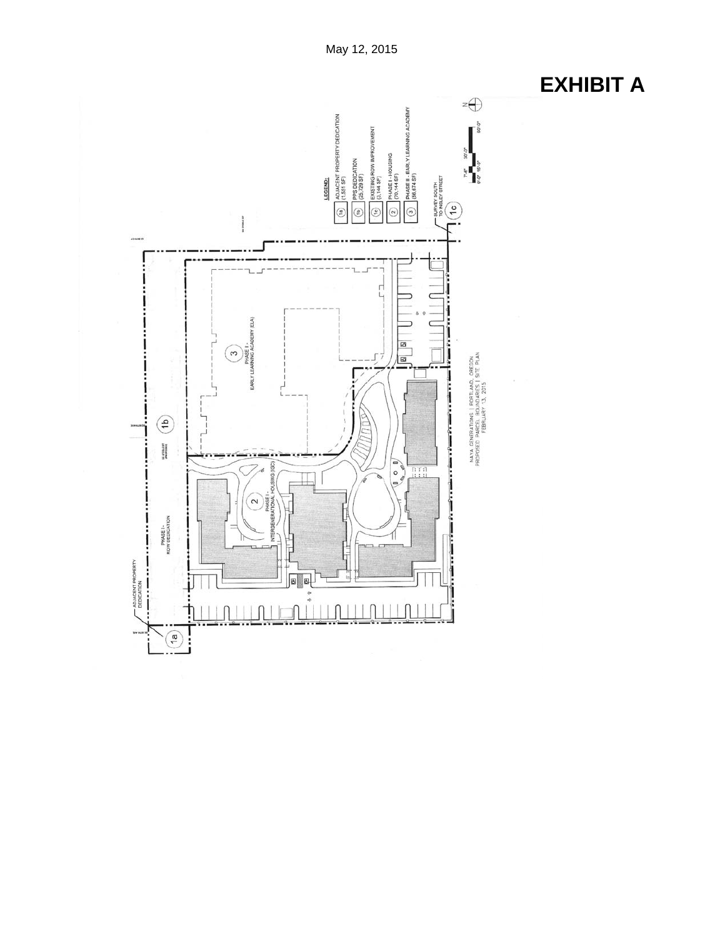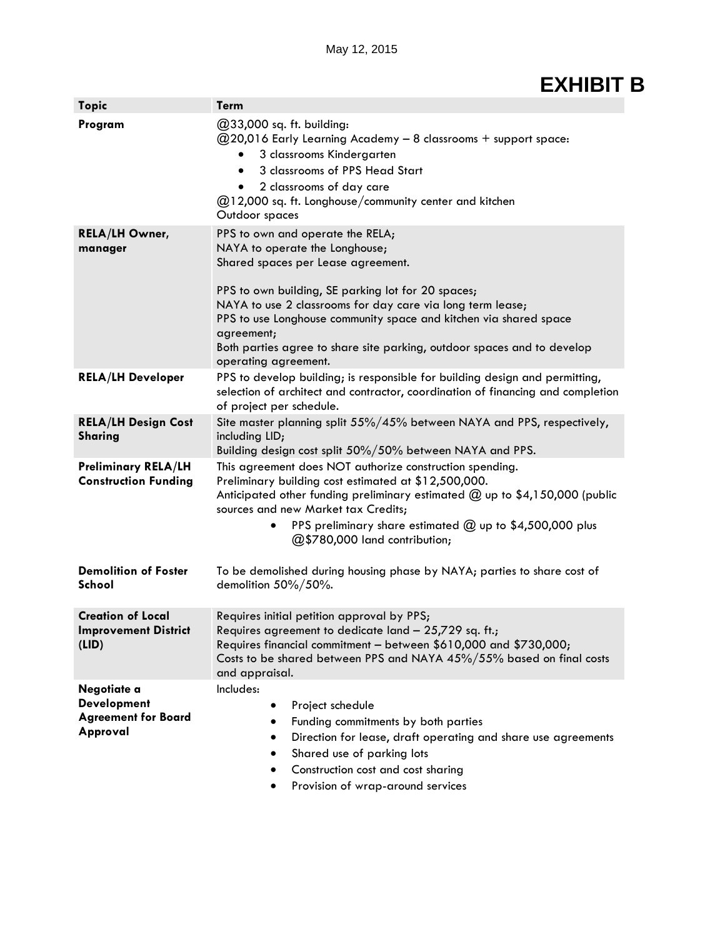# **EXHIBIT B**

| <b>Topic</b>                                                                | <b>Term</b>                                                                                                                                                                                                                                                                                                                                                                                                        |
|-----------------------------------------------------------------------------|--------------------------------------------------------------------------------------------------------------------------------------------------------------------------------------------------------------------------------------------------------------------------------------------------------------------------------------------------------------------------------------------------------------------|
| Program                                                                     | @33,000 sq. ft. building:<br>@20,016 Early Learning Academy - 8 classrooms + support space:<br>3 classrooms Kindergarten<br>3 classrooms of PPS Head Start<br>2 classrooms of day care<br>@12,000 sq. ft. Longhouse/community center and kitchen<br>Outdoor spaces                                                                                                                                                 |
| <b>RELA/LH Owner,</b><br>manager                                            | PPS to own and operate the RELA;<br>NAYA to operate the Longhouse;<br>Shared spaces per Lease agreement.<br>PPS to own building, SE parking lot for 20 spaces;<br>NAYA to use 2 classrooms for day care via long term lease;<br>PPS to use Longhouse community space and kitchen via shared space<br>agreement;<br>Both parties agree to share site parking, outdoor spaces and to develop<br>operating agreement. |
| <b>RELA/LH Developer</b>                                                    | PPS to develop building; is responsible for building design and permitting,<br>selection of architect and contractor, coordination of financing and completion<br>of project per schedule.                                                                                                                                                                                                                         |
| <b>RELA/LH Design Cost</b><br><b>Sharing</b>                                | Site master planning split 55%/45% between NAYA and PPS, respectively,<br>including LID;<br>Building design cost split 50%/50% between NAYA and PPS.                                                                                                                                                                                                                                                               |
| <b>Preliminary RELA/LH</b><br><b>Construction Funding</b>                   | This agreement does NOT authorize construction spending.<br>Preliminary building cost estimated at \$12,500,000.<br>Anticipated other funding preliminary estimated $@$ up to \$4,150,000 (public<br>sources and new Market tax Credits;<br>PPS preliminary share estimated @ up to \$4,500,000 plus<br>@\$780,000 land contribution;                                                                              |
| <b>Demolition of Foster</b><br>School                                       | To be demolished during housing phase by NAYA; parties to share cost of<br>demolition 50%/50%.                                                                                                                                                                                                                                                                                                                     |
| <b>Creation of Local</b><br><b>Improvement District</b><br>(LID)            | Requires initial petition approval by PPS;<br>Requires agreement to dedicate land - 25,729 sq. ft.;<br>Requires financial commitment - between \$610,000 and \$730,000;<br>Costs to be shared between PPS and NAYA 45%/55% based on final costs<br>and appraisal.                                                                                                                                                  |
| Negotiate a<br><b>Development</b><br><b>Agreement for Board</b><br>Approval | Includes:<br>Project schedule<br>٠<br>Funding commitments by both parties<br>Direction for lease, draft operating and share use agreements<br>Shared use of parking lots<br>Construction cost and cost sharing<br>Provision of wrap-around services<br>٠                                                                                                                                                           |